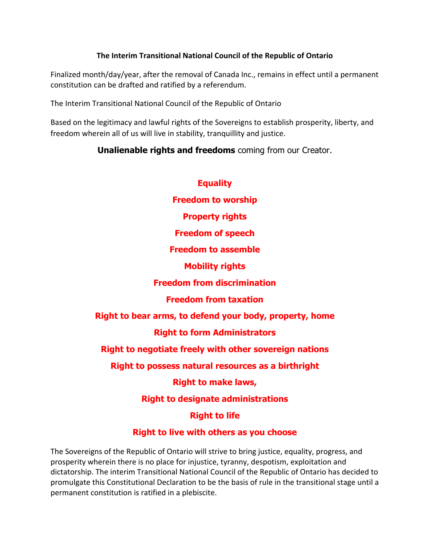#### **The Interim Transitional National Council of the Republic of Ontario**

Finalized month/day/year, after the removal of Canada Inc., remains in effect until a permanent constitution can be drafted and ratified by a referendum.

The Interim Transitional National Council of the Republic of Ontario

Based on the legitimacy and lawful rights of the Sovereigns to establish prosperity, liberty, and freedom wherein all of us will live in stability, tranquillity and justice.

# **Unalienable rights and freedoms** coming from our Creator.

| <b>Equality</b>                                               |
|---------------------------------------------------------------|
| <b>Freedom to worship</b>                                     |
| <b>Property rights</b>                                        |
| <b>Freedom of speech</b>                                      |
| <b>Freedom to assemble</b>                                    |
| <b>Mobility rights</b>                                        |
| <b>Freedom from discrimination</b>                            |
| <b>Freedom from taxation</b>                                  |
| Right to bear arms, to defend your body, property, home       |
| <b>Right to form Administrators</b>                           |
| <b>Right to negotiate freely with other sovereign nations</b> |
| Right to possess natural resources as a birthright            |
| <b>Right to make laws,</b>                                    |
| <b>Right to designate administrations</b>                     |
| <b>Right to life</b>                                          |
|                                                               |

# **Right to live with others as you choose**

The Sovereigns of the Republic of Ontario will strive to bring justice, equality, progress, and prosperity wherein there is no place for injustice, tyranny, despotism, exploitation and dictatorship. The interim Transitional National Council of the Republic of Ontario has decided to promulgate this Constitutional Declaration to be the basis of rule in the transitional stage until a permanent constitution is ratified in a plebiscite.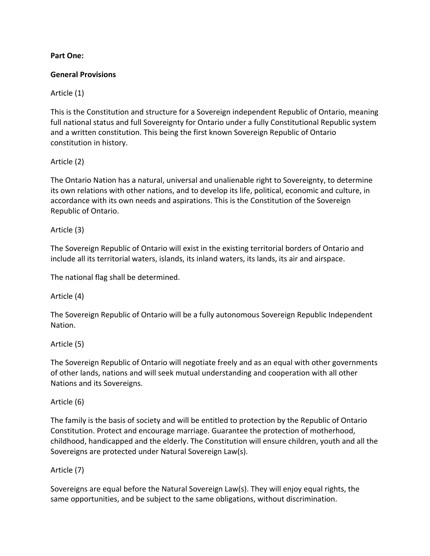#### **Part One:**

#### **General Provisions**

Article (1)

This is the Constitution and structure for a Sovereign independent Republic of Ontario, meaning full national status and full Sovereignty for Ontario under a fully Constitutional Republic system and a written constitution. This being the first known Sovereign Republic of Ontario constitution in history.

#### Article (2)

The Ontario Nation has a natural, universal and unalienable right to Sovereignty, to determine its own relations with other nations, and to develop its life, political, economic and culture, in accordance with its own needs and aspirations. This is the Constitution of the Sovereign Republic of Ontario.

#### Article (3)

The Sovereign Republic of Ontario will exist in the existing territorial borders of Ontario and include all its territorial waters, islands, its inland waters, its lands, its air and airspace.

The national flag shall be determined.

Article (4)

The Sovereign Republic of Ontario will be a fully autonomous Sovereign Republic Independent Nation.

Article (5)

The Sovereign Republic of Ontario will negotiate freely and as an equal with other governments of other lands, nations and will seek mutual understanding and cooperation with all other Nations and its Sovereigns.

#### Article (6)

The family is the basis of society and will be entitled to protection by the Republic of Ontario Constitution. Protect and encourage marriage. Guarantee the protection of motherhood, childhood, handicapped and the elderly. The Constitution will ensure children, youth and all the Sovereigns are protected under Natural Sovereign Law(s).

#### Article (7)

Sovereigns are equal before the Natural Sovereign Law(s). They will enjoy equal rights, the same opportunities, and be subject to the same obligations, without discrimination.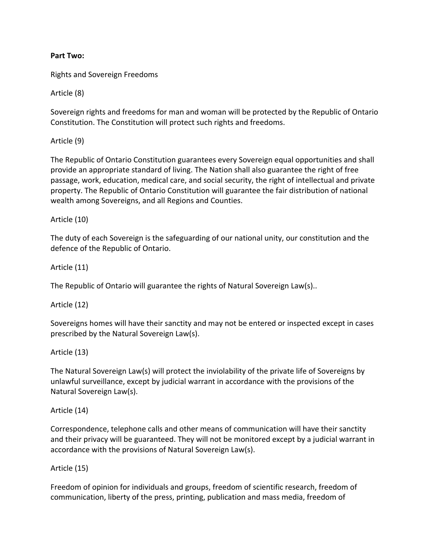#### **Part Two:**

Rights and Sovereign Freedoms

Article (8)

Sovereign rights and freedoms for man and woman will be protected by the Republic of Ontario Constitution. The Constitution will protect such rights and freedoms.

Article (9)

The Republic of Ontario Constitution guarantees every Sovereign equal opportunities and shall provide an appropriate standard of living. The Nation shall also guarantee the right of free passage, work, education, medical care, and social security, the right of intellectual and private property. The Republic of Ontario Constitution will guarantee the fair distribution of national wealth among Sovereigns, and all Regions and Counties.

Article (10)

The duty of each Sovereign is the safeguarding of our national unity, our constitution and the defence of the Republic of Ontario.

Article (11)

The Republic of Ontario will guarantee the rights of Natural Sovereign Law(s)..

Article (12)

Sovereigns homes will have their sanctity and may not be entered or inspected except in cases prescribed by the Natural Sovereign Law(s).

Article (13)

The Natural Sovereign Law(s) will protect the inviolability of the private life of Sovereigns by unlawful surveillance, except by judicial warrant in accordance with the provisions of the Natural Sovereign Law(s).

Article (14)

Correspondence, telephone calls and other means of communication will have their sanctity and their privacy will be guaranteed. They will not be monitored except by a judicial warrant in accordance with the provisions of Natural Sovereign Law(s).

Article (15)

Freedom of opinion for individuals and groups, freedom of scientific research, freedom of communication, liberty of the press, printing, publication and mass media, freedom of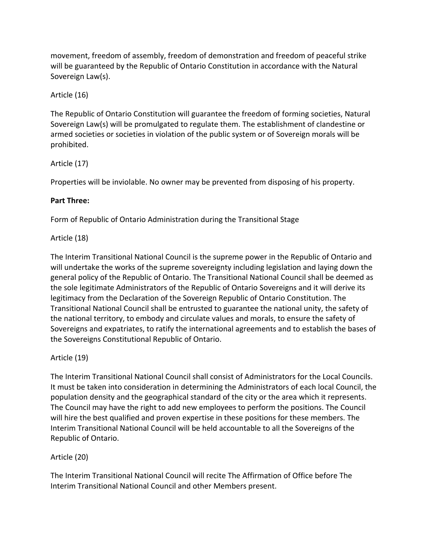movement, freedom of assembly, freedom of demonstration and freedom of peaceful strike will be guaranteed by the Republic of Ontario Constitution in accordance with the Natural Sovereign Law(s).

# Article (16)

The Republic of Ontario Constitution will guarantee the freedom of forming societies, Natural Sovereign Law(s) will be promulgated to regulate them. The establishment of clandestine or armed societies or societies in violation of the public system or of Sovereign morals will be prohibited.

# Article (17)

Properties will be inviolable. No owner may be prevented from disposing of his property.

# **Part Three:**

Form of Republic of Ontario Administration during the Transitional Stage

# Article (18)

The Interim Transitional National Council is the supreme power in the Republic of Ontario and will undertake the works of the supreme sovereignty including legislation and laying down the general policy of the Republic of Ontario. The Transitional National Council shall be deemed as the sole legitimate Administrators of the Republic of Ontario Sovereigns and it will derive its legitimacy from the Declaration of the Sovereign Republic of Ontario Constitution. The Transitional National Council shall be entrusted to guarantee the national unity, the safety of the national territory, to embody and circulate values and morals, to ensure the safety of Sovereigns and expatriates, to ratify the international agreements and to establish the bases of the Sovereigns Constitutional Republic of Ontario.

# Article (19)

The Interim Transitional National Council shall consist of Administrators for the Local Councils. It must be taken into consideration in determining the Administrators of each local Council, the population density and the geographical standard of the city or the area which it represents. The Council may have the right to add new employees to perform the positions. The Council will hire the best qualified and proven expertise in these positions for these members. The Interim Transitional National Council will be held accountable to all the Sovereigns of the Republic of Ontario.

# Article (20)

The Interim Transitional National Council will recite The Affirmation of Office before The Interim Transitional National Council and other Members present.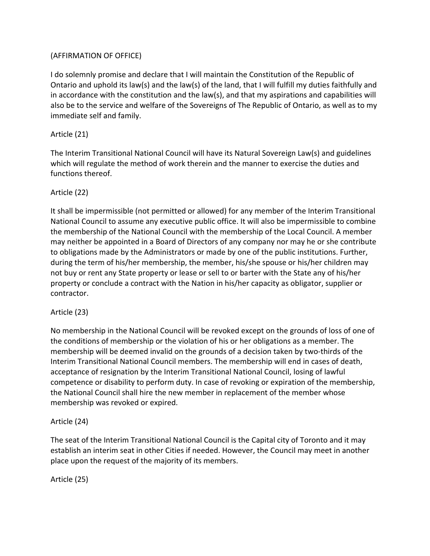### (AFFIRMATION OF OFFICE)

I do solemnly promise and declare that I will maintain the Constitution of the Republic of Ontario and uphold its law(s) and the law(s) of the land, that I will fulfill my duties faithfully and in accordance with the constitution and the law(s), and that my aspirations and capabilities will also be to the service and welfare of the Sovereigns of The Republic of Ontario, as well as to my immediate self and family.

### Article (21)

The Interim Transitional National Council will have its Natural Sovereign Law(s) and guidelines which will regulate the method of work therein and the manner to exercise the duties and functions thereof.

#### Article (22)

It shall be impermissible (not permitted or allowed) for any member of the Interim Transitional National Council to assume any executive public office. It will also be impermissible to combine the membership of the National Council with the membership of the Local Council. A member may neither be appointed in a Board of Directors of any company nor may he or she contribute to obligations made by the Administrators or made by one of the public institutions. Further, during the term of his/her membership, the member, his/she spouse or his/her children may not buy or rent any State property or lease or sell to or barter with the State any of his/her property or conclude a contract with the Nation in his/her capacity as obligator, supplier or contractor.

#### Article (23)

No membership in the National Council will be revoked except on the grounds of loss of one of the conditions of membership or the violation of his or her obligations as a member. The membership will be deemed invalid on the grounds of a decision taken by two-thirds of the Interim Transitional National Council members. The membership will end in cases of death, acceptance of resignation by the Interim Transitional National Council, losing of lawful competence or disability to perform duty. In case of revoking or expiration of the membership, the National Council shall hire the new member in replacement of the member whose membership was revoked or expired.

#### Article (24)

The seat of the Interim Transitional National Council is the Capital city of Toronto and it may establish an interim seat in other Cities if needed. However, the Council may meet in another place upon the request of the majority of its members.

Article (25)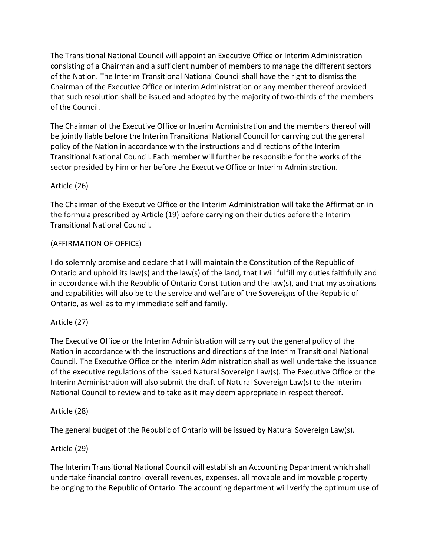The Transitional National Council will appoint an Executive Office or Interim Administration consisting of a Chairman and a sufficient number of members to manage the different sectors of the Nation. The Interim Transitional National Council shall have the right to dismiss the Chairman of the Executive Office or Interim Administration or any member thereof provided that such resolution shall be issued and adopted by the majority of two-thirds of the members of the Council.

The Chairman of the Executive Office or Interim Administration and the members thereof will be jointly liable before the Interim Transitional National Council for carrying out the general policy of the Nation in accordance with the instructions and directions of the Interim Transitional National Council. Each member will further be responsible for the works of the sector presided by him or her before the Executive Office or Interim Administration.

#### Article (26)

The Chairman of the Executive Office or the Interim Administration will take the Affirmation in the formula prescribed by Article (19) before carrying on their duties before the Interim Transitional National Council.

# (AFFIRMATION OF OFFICE)

I do solemnly promise and declare that I will maintain the Constitution of the Republic of Ontario and uphold its law(s) and the law(s) of the land, that I will fulfill my duties faithfully and in accordance with the Republic of Ontario Constitution and the law(s), and that my aspirations and capabilities will also be to the service and welfare of the Sovereigns of the Republic of Ontario, as well as to my immediate self and family.

#### Article (27)

The Executive Office or the Interim Administration will carry out the general policy of the Nation in accordance with the instructions and directions of the Interim Transitional National Council. The Executive Office or the Interim Administration shall as well undertake the issuance of the executive regulations of the issued Natural Sovereign Law(s). The Executive Office or the Interim Administration will also submit the draft of Natural Sovereign Law(s) to the Interim National Council to review and to take as it may deem appropriate in respect thereof.

#### Article (28)

The general budget of the Republic of Ontario will be issued by Natural Sovereign Law(s).

#### Article (29)

The Interim Transitional National Council will establish an Accounting Department which shall undertake financial control overall revenues, expenses, all movable and immovable property belonging to the Republic of Ontario. The accounting department will verify the optimum use of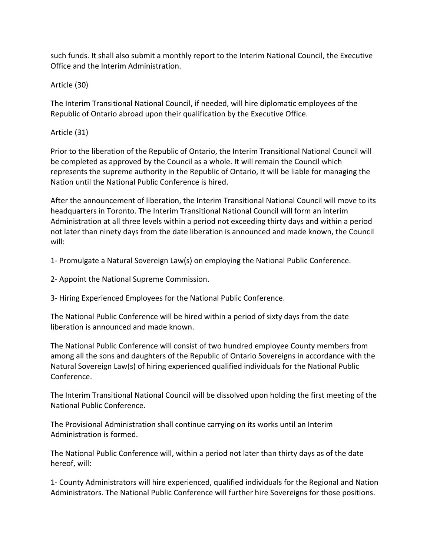such funds. It shall also submit a monthly report to the Interim National Council, the Executive Office and the Interim Administration.

Article (30)

The Interim Transitional National Council, if needed, will hire diplomatic employees of the Republic of Ontario abroad upon their qualification by the Executive Office.

### Article (31)

Prior to the liberation of the Republic of Ontario, the Interim Transitional National Council will be completed as approved by the Council as a whole. It will remain the Council which represents the supreme authority in the Republic of Ontario, it will be liable for managing the Nation until the National Public Conference is hired.

After the announcement of liberation, the Interim Transitional National Council will move to its headquarters in Toronto. The Interim Transitional National Council will form an interim Administration at all three levels within a period not exceeding thirty days and within a period not later than ninety days from the date liberation is announced and made known, the Council will:

1- Promulgate a Natural Sovereign Law(s) on employing the National Public Conference.

2- Appoint the National Supreme Commission.

3- Hiring Experienced Employees for the National Public Conference.

The National Public Conference will be hired within a period of sixty days from the date liberation is announced and made known.

The National Public Conference will consist of two hundred employee County members from among all the sons and daughters of the Republic of Ontario Sovereigns in accordance with the Natural Sovereign Law(s) of hiring experienced qualified individuals for the National Public Conference.

The Interim Transitional National Council will be dissolved upon holding the first meeting of the National Public Conference.

The Provisional Administration shall continue carrying on its works until an Interim Administration is formed.

The National Public Conference will, within a period not later than thirty days as of the date hereof, will:

1- County Administrators will hire experienced, qualified individuals for the Regional and Nation Administrators. The National Public Conference will further hire Sovereigns for those positions.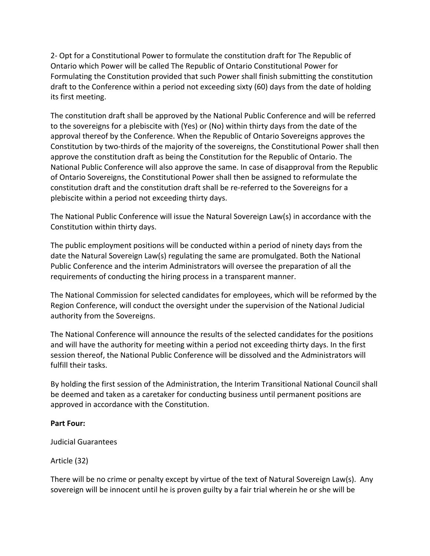2- Opt for a Constitutional Power to formulate the constitution draft for The Republic of Ontario which Power will be called The Republic of Ontario Constitutional Power for Formulating the Constitution provided that such Power shall finish submitting the constitution draft to the Conference within a period not exceeding sixty (60) days from the date of holding its first meeting.

The constitution draft shall be approved by the National Public Conference and will be referred to the sovereigns for a plebiscite with (Yes) or (No) within thirty days from the date of the approval thereof by the Conference. When the Republic of Ontario Sovereigns approves the Constitution by two-thirds of the majority of the sovereigns, the Constitutional Power shall then approve the constitution draft as being the Constitution for the Republic of Ontario. The National Public Conference will also approve the same. In case of disapproval from the Republic of Ontario Sovereigns, the Constitutional Power shall then be assigned to reformulate the constitution draft and the constitution draft shall be re-referred to the Sovereigns for a plebiscite within a period not exceeding thirty days.

The National Public Conference will issue the Natural Sovereign Law(s) in accordance with the Constitution within thirty days.

The public employment positions will be conducted within a period of ninety days from the date the Natural Sovereign Law(s) regulating the same are promulgated. Both the National Public Conference and the interim Administrators will oversee the preparation of all the requirements of conducting the hiring process in a transparent manner.

The National Commission for selected candidates for employees, which will be reformed by the Region Conference, will conduct the oversight under the supervision of the National Judicial authority from the Sovereigns.

The National Conference will announce the results of the selected candidates for the positions and will have the authority for meeting within a period not exceeding thirty days. In the first session thereof, the National Public Conference will be dissolved and the Administrators will fulfill their tasks.

By holding the first session of the Administration, the Interim Transitional National Council shall be deemed and taken as a caretaker for conducting business until permanent positions are approved in accordance with the Constitution.

#### **Part Four:**

Judicial Guarantees

Article (32)

There will be no crime or penalty except by virtue of the text of Natural Sovereign Law(s). Any sovereign will be innocent until he is proven guilty by a fair trial wherein he or she will be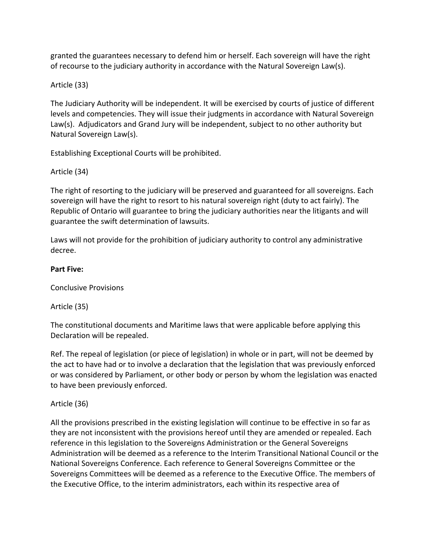granted the guarantees necessary to defend him or herself. Each sovereign will have the right of recourse to the judiciary authority in accordance with the Natural Sovereign Law(s).

# Article (33)

The Judiciary Authority will be independent. It will be exercised by courts of justice of different levels and competencies. They will issue their judgments in accordance with Natural Sovereign Law(s). Adjudicators and Grand Jury will be independent, subject to no other authority but Natural Sovereign Law(s).

Establishing Exceptional Courts will be prohibited.

# Article (34)

The right of resorting to the judiciary will be preserved and guaranteed for all sovereigns. Each sovereign will have the right to resort to his natural sovereign right (duty to act fairly). The Republic of Ontario will guarantee to bring the judiciary authorities near the litigants and will guarantee the swift determination of lawsuits.

Laws will not provide for the prohibition of judiciary authority to control any administrative decree.

#### **Part Five:**

Conclusive Provisions

Article (35)

The constitutional documents and Maritime laws that were applicable before applying this Declaration will be repealed.

Ref. The repeal of legislation (or piece of legislation) in whole or in part, will not be deemed by the act to have had or to involve a declaration that the legislation that was previously enforced or was considered by Parliament, or other body or person by whom the legislation was enacted to have been previously enforced.

# Article (36)

All the provisions prescribed in the existing legislation will continue to be effective in so far as they are not inconsistent with the provisions hereof until they are amended or repealed. Each reference in this legislation to the Sovereigns Administration or the General Sovereigns Administration will be deemed as a reference to the Interim Transitional National Council or the National Sovereigns Conference. Each reference to General Sovereigns Committee or the Sovereigns Committees will be deemed as a reference to the Executive Office. The members of the Executive Office, to the interim administrators, each within its respective area of